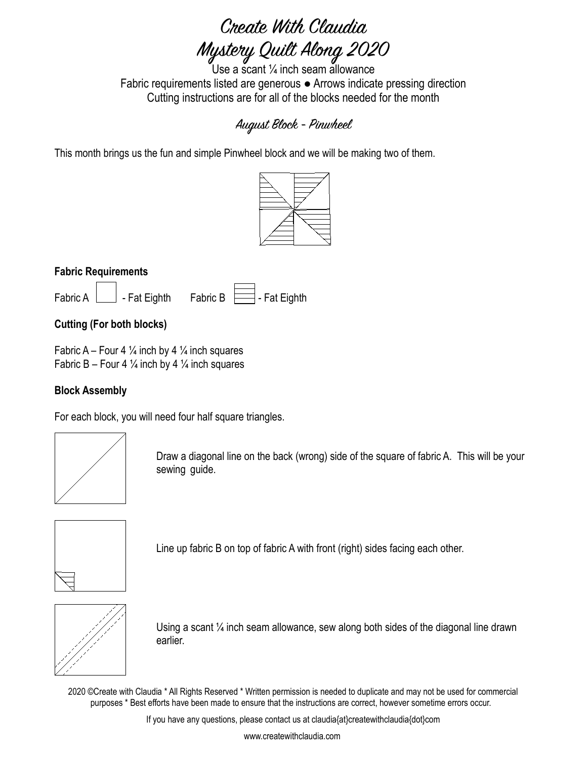# Create With Claudia Mystery Quilt Along 2020

Use a scant ¼ inch seam allowance Fabric requirements listed are generous ● Arrows indicate pressing direction Cutting instructions are for all of the blocks needed for the month

## August Block - Pinwheel

This month brings us the fun and simple Pinwheel block and we will be making two of them.



### **Fabric Requirements**

| Fabric A | - Fat Eighth | Fabric B | - Fat Eighth |
|----------|--------------|----------|--------------|

### **Cutting (For both blocks)**

Fabric A – Four 4  $\frac{1}{4}$  inch by 4  $\frac{1}{4}$  inch squares Fabric B – Four 4  $\frac{1}{4}$  inch by 4  $\frac{1}{4}$  inch squares

### **Block Assembly**

For each block, you will need four half square triangles.



Draw a diagonal line on the back (wrong) side of the square of fabric A. This will be your sewing guide.



Line up fabric B on top of fabric A with front (right) sides facing each other.



Using a scant ¼ inch seam allowance, sew along both sides of the diagonal line drawn earlier.

2020 ©Create with Claudia \* All Rights Reserved \* Written permission is needed to duplicate and may not be used for commercial purposes \* Best efforts have been made to ensure that the instructions are correct, however sometime errors occur.

If you have any questions, please contact us at claudia{at}createwithclaudia{dot}com